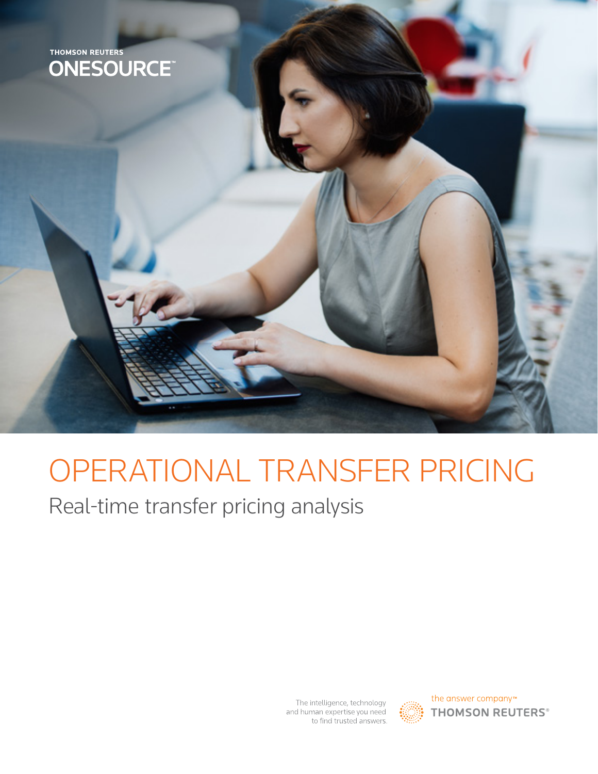

# OPERATIONAL TRANSFER PRICING

Real-time transfer pricing analysis

The intelligence, technology and human expertise you need to find trusted answers.



the answer company™ **THOMSON REUTERS®**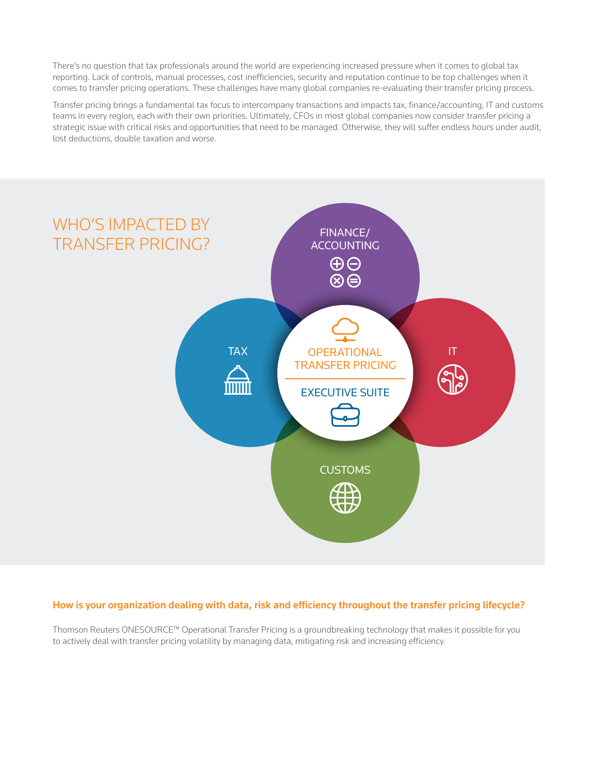There's no question that tax professionals around the world are experiencing increased pressure when it comes to global tax reporting. Lack of controls, manual processes, cost inefficiencies, security and reputation continue to be top challenges when it comes to transfer pricing operations. These challenges have many global companies re-evaluating their transfer pricing process.

Transfer pricing brings a fundamental tax focus to intercompany transactions and impacts tax, finance/accounting, IT and customs teams in every region, each with their own priorities. Ultimately, CFOs in most global companies now consider transfer pricing a strategic issue with critical risks and opportunities that need to be managed. Otherwise, they will suffer endless hours under audit, lost deductions, double taxation and worse.



### How is your organization dealing with data, risk and efficiency throughout the transfer pricing lifecycle?

Thomson Reuters ONESOURCE™ Operational Transfer Pricing is a groundbreaking technology that makes it possible for you to actively deal with transfer pricing volatility by managing data, mitigating risk and increasing efficiency.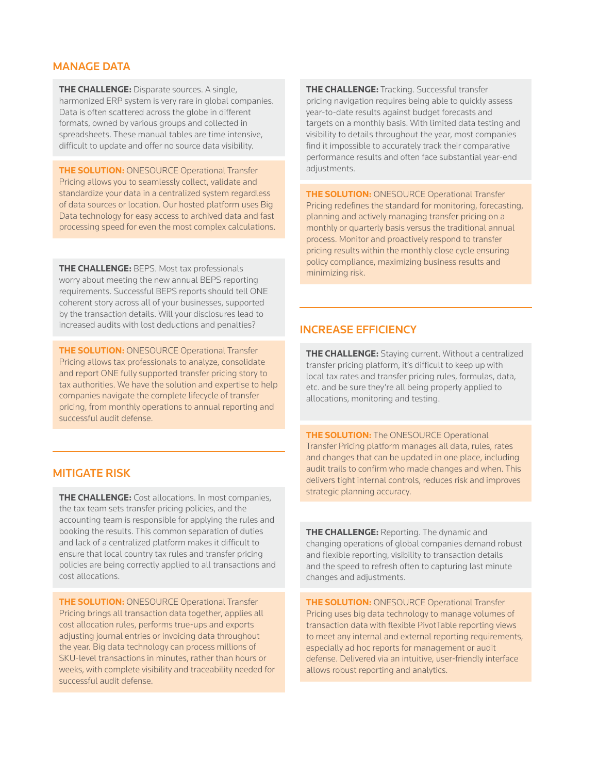# MANAGE DATA

**THE CHALLENGE:** Disparate sources. A single, harmonized ERP system is very rare in global companies. Data is often scattered across the globe in different formats, owned by various groups and collected in spreadsheets. These manual tables are time intensive, difficult to update and offer no source data visibility.

**THE SOLUTION:** ONESOURCE Operational Transfer Pricing allows you to seamlessly collect, validate and standardize your data in a centralized system regardless of data sources or location. Our hosted platform uses Big Data technology for easy access to archived data and fast processing speed for even the most complex calculations.

**THE CHALLENGE:** BEPS. Most tax professionals worry about meeting the new annual BEPS reporting requirements. Successful BEPS reports should tell ONE coherent story across all of your businesses, supported by the transaction details. Will your disclosures lead to increased audits with lost deductions and penalties?

**THE SOLUTION:** ONESOURCE Operational Transfer Pricing allows tax professionals to analyze, consolidate and report ONE fully supported transfer pricing story to tax authorities. We have the solution and expertise to help companies navigate the complete lifecycle of transfer pricing, from monthly operations to annual reporting and successful audit defense.

# MITIGATE RISK

**THE CHALLENGE:** Cost allocations. In most companies, the tax team sets transfer pricing policies, and the accounting team is responsible for applying the rules and booking the results. This common separation of duties and lack of a centralized platform makes it difficult to ensure that local country tax rules and transfer pricing policies are being correctly applied to all transactions and cost allocations.

**THE SOLUTION:** ONESOURCE Operational Transfer Pricing brings all transaction data together, applies all cost allocation rules, performs true-ups and exports adjusting journal entries or invoicing data throughout the year. Big data technology can process millions of SKU-level transactions in minutes, rather than hours or weeks, with complete visibility and traceability needed for successful audit defense.

**THE CHALLENGE:** Tracking. Successful transfer pricing navigation requires being able to quickly assess year-to-date results against budget forecasts and targets on a monthly basis. With limited data testing and visibility to details throughout the year, most companies find it impossible to accurately track their comparative performance results and often face substantial year-end adiustments.

**THE SOLUTION:** ONESOURCE Operational Transfer Pricing redefines the standard for monitoring, forecasting, planning and actively managing transfer pricing on a monthly or quarterly basis versus the traditional annual process. Monitor and proactively respond to transfer pricing results within the monthly close cycle ensuring policy compliance, maximizing business results and minimizing risk.

# INCREASE EFFICIENCY

**THE CHALLENGE:** Staying current. Without a centralized transfer pricing platform, it's difficult to keep up with local tax rates and transfer pricing rules, formulas, data, etc. and be sure they're all being properly applied to allocations, monitoring and testing.

**THE SOLUTION:** The ONESOURCE Operational Transfer Pricing platform manages all data, rules, rates and changes that can be updated in one place, including audit trails to confirm who made changes and when. This delivers tight internal controls, reduces risk and improves strategic planning accuracy.

**THE CHALLENGE:** Reporting. The dynamic and changing operations of global companies demand robust and flexible reporting, visibility to transaction details and the speed to refresh often to capturing last minute changes and adjustments.

**THE SOLUTION:** ONESOURCE Operational Transfer Pricing uses big data technology to manage volumes of transaction data with flexible PivotTable reporting views to meet any internal and external reporting requirements, especially ad hoc reports for management or audit defense. Delivered via an intuitive, user-friendly interface allows robust reporting and analytics.